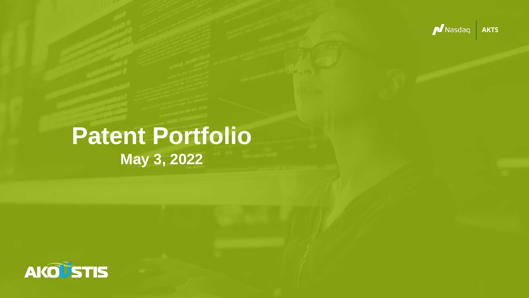

# **Patent Portfolio May 3, 2022**

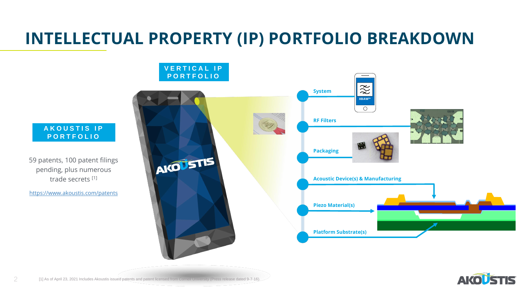59 patents, 100 patent filings pending, plus numerous trade secrets [1]

<https://www.akoustis.com/patents>



# **INTELLECTUAL PROPERTY (IP) PORTFOLIO BREAKDOWN**









#### **A K O U S T I S I P P O R T F O L I O**

### **V E R T I C A L I P P O R T F O L I O**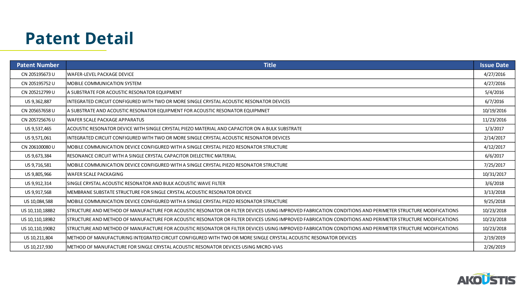### **Patent Detail**

| <b>Patent Number</b> | <b>Title</b>                                                                                                                                              | <b>Issue Date</b> |
|----------------------|-----------------------------------------------------------------------------------------------------------------------------------------------------------|-------------------|
| CN 205195673 U       | WAFER-LEVEL PACKAGE DEVICE                                                                                                                                | 4/27/2016         |
| CN 205195752 U       | MOBILE COMMUNICATION SYSTEM                                                                                                                               | 4/27/2016         |
| CN 205212799 U       | A SUBSTRATE FOR ACOUSTIC RESONATOR EQUIPMENT                                                                                                              | 5/4/2016          |
| US 9,362,887         | INTEGRATED CIRCUIT CONFIGURED WITH TWO OR MORE SINGLE CRYSTAL ACOUSTIC RESONATOR DEVICES                                                                  | 6/7/2016          |
| CN 205657658 U       | A SUBSTRATE AND ACOUSTIC RESONATOR EQUIPMENT FOR ACOUSTIC RESONATOR EQUIPMNET                                                                             | 10/19/2016        |
| CN 205725676 U       | WAFER SCALE PACKAGE APPARATUS                                                                                                                             | 11/23/2016        |
| US 9,537,465         | ACOUSTIC RESONATOR DEVICE WITH SINGLE CRYSTAL PIEZO MATERIAL AND CAPACITOR ON A BULK SUBSTRATE                                                            | 1/3/2017          |
| US 9,571,061         | IINTEGRATED CIRCUIT CONFIGURED WITH TWO OR MORE SINGLE CRYSTAL ACOUSTIC RESONATOR DEVICES                                                                 | 2/14/2017         |
| CN 206100080 U       | MOBILE COMMUNICATION DEVICE CONFIGURED WITH A SINGLE CRYSTAL PIEZO RESONATOR STRUCTURE                                                                    | 4/12/2017         |
| US 9,673,384         | RESONANCE CIRCUIT WITH A SINGLE CRYSTAL CAPACITOR DIELECTRIC MATERIAL                                                                                     | 6/6/2017          |
| US 9,716,581         | MOBILE COMMUNICATION DEVICE CONFIGURED WITH A SINGLE CRYSTAL PIEZO RESONATOR STRUCTURE                                                                    | 7/25/2017         |
| US 9,805,966         | WAFER SCALE PACKAGING                                                                                                                                     | 10/31/2017        |
| US 9,912,314         | SINGLE CRYSTAL ACOUSTIC RESONATOR AND BULK ACOUSTIC WAVE FILTER                                                                                           | 3/6/2018          |
| US 9,917,568         | IMEMBRANE SUBSTATE STRUCTURE FOR SINGLE CRYSTAL ACOUSTIC RESONATOR DEVICE                                                                                 | 3/13/2018         |
| US 10,084,588        | MOBILE COMMUNICATION DEVICE CONFIGURED WITH A SINGLE CRYSTAL PIEZO RESONATOR STRUCTURE                                                                    | 9/25/2018         |
| US 10,110,188B2      | ISTRUCTURE AND METHOD OF MANUFACTURE FOR ACOUSTIC RESONATOR OR FILTER DEVICES USING IMPROVED FABRICATION CONDITIONS AND PERIMETER STRUCTURE MODIFICATIONS | 10/23/2018        |
| US 10,110,189B2      | STRUCTURE AND METHOD OF MANUFACTURE FOR ACOUSTIC RESONATOR OR FILTER DEVICES USING IMPROVED FABRICATION CONDITIONS AND PERIMETER STRUCTURE MODIFICATIONS  | 10/23/2018        |
| US 10, 110, 190B2    | ISTRUCTURE AND METHOD OF MANUFACTURE FOR ACOUSTIC RESONATOR OR FILTER DEVICES USING IMPROVED FABRICATION CONDITIONS AND PERIMETER STRUCTURE MODIFICATIONS | 10/23/2018        |
| US 10, 211, 804      | METHOD OF MANUFACTURING INTEGRATED CIRCUIT CONFIGURED WITH TWO OR MORE SINGLE CRYSTAL ACOUSTIC RESONATOR DEVICES                                          | 2/19/2019         |
| US 10,217,930        | IMETHOD OF MANUFACTURE FOR SINGLE CRYSTAL ACOUSTIC RESONATOR DEVICES USING MICRO-VIAS                                                                     | 2/26/2019         |



| <b>Date</b> |
|-------------|
| 2016        |
| 2016        |
| 016         |
| 016         |
| 2016        |
| 2016        |
| 2017        |
| 2017        |
| 2017        |
| 2017        |
| 2017        |
| 2017        |
| 018         |
| 2018        |
| 2018        |
| 2018        |
| 2018        |
| 2018        |
| 2019        |
| 2019        |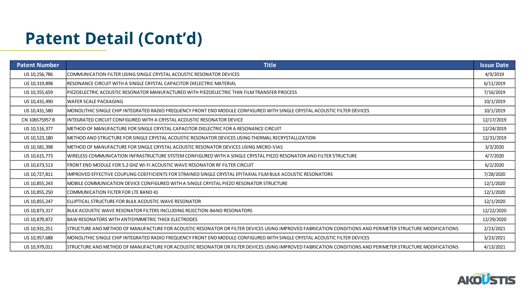# **Patent Detail (Cont'd)**

| <b>Patent Number</b> | <b>Title</b>                                                                                                                                               | <b>Issue Date</b> |
|----------------------|------------------------------------------------------------------------------------------------------------------------------------------------------------|-------------------|
| US 10,256,786        | COMMUNICATION FILTER USING SINGLE CRYSTAL ACOUSTIC RESONATOR DEVICES                                                                                       | 4/9/2019          |
| US 10,319,898        | RESONANCE CIRCUIT WITH A SINGLE CRYSTAL CAPACITOR DIELECTRIC MATERIAL                                                                                      | 6/11/2019         |
| US 10,355,659        | PIEZOELECTRIC ACOUSTIC RESONATOR MANUFACTURED WITH PIEZOELECTRIC THIN FILM TRANSFER PROCESS                                                                | 7/16/2019         |
| US 10,431,490        | WAFER SCALE PACKAGING                                                                                                                                      | 10/1/2019         |
| US 10,431,580        | MONOLITHIC SINGLE CHIP INTEGRATED RADIO FREQUENCY FRONT END MODULE CONFIGURED WITH SINGLE CRYSTAL ACOUSTIC FILTER DEVICES                                  | 10/1/2019         |
| CN 106575957 B       | INTEGRATED CIRCUIT CONFIGURED WITH A CRYSTAL ACOUSTIC RESONATOR DEVICE                                                                                     | 12/17/2019        |
| US 10,516,377        | METHOD OF MANUFACTURE FOR SINGLE CRYSTAL CAPACITOR DIELECTRIC FOR A RESONANCE CIRCUIT                                                                      | 12/24/2019        |
| US 10,523,180        | IMETHOD AND STRUCTURE FOR SINGLE CRYSTAL ACOUSTIC RESONATOR DEVICES USING THERMAL RECRYSTALLIZATION                                                        | 12/31/2019        |
| US 10,581,398        | METHOD OF MANUFACTURE FOR SINGLE CRYSTAL ACOUSTIC RESONATOR DEVICES USING MICRO-VIAS                                                                       | 3/3/2020          |
| US 10,615,773        | WIRELESS COMMUNICATION INFRASTRUCTURE SYSTEM CONFIGURED WITH A SINGLE CRYSTAL PIEZO RESONATOR AND FILTER STRUCTURE                                         | 4/7/2020          |
| US 10,673,513        | FRONT END MODULE FOR 5.2 GHZ WI-FI ACOUSTIC WAVE RESONATOR RF FILTER CIRCUIT                                                                               | 6/2/2020          |
| US 10,727,811        | IMPROVED EFFECTIVE COUPLING COEFFICIENTS FOR STRAINED SINGLE CRYSTAL EPITAXIAL FILM BULK ACOUSTIC RESONATORS                                               | 7/28/2020         |
| US 10,855,243        | MOBILE COMMUNICATION DEVICE CONFIGURED WITH A SINGLE CRYSTAL PIEZO RESONATOR STRUCTURE                                                                     | 12/1/2020         |
| US 10,855,250        | COMMUNICATION FILTER FOR LTE BAND 41                                                                                                                       | 12/1/2020         |
| US 10,855,247        | ELLIPTICAL STRUCTURE FOR BULK ACOUSTIC WAVE RESONATOR                                                                                                      | 12/1/2020         |
| US 10,873,317        | BULK ACOUSTIC WAVE RESONATOR FILTERS INCLUDING REJECTION-BAND RESONATORS                                                                                   | 12/22/2020        |
| US 10,879,872        | BAW RESONATORS WITH ANTISYMMETRIC THICK ELECTRODES                                                                                                         | 12/29/2020        |
| US 10,931,251        | STRUCTURE AND METHOD OF MANUFACTURE FOR ACOUSTIC RESONATOR OR FILTER DEVICES USING IMPROVED FABRICATION CONDITIONS AND PERIMETER STRUCTURE MODIFICATIONS [ | 2/23/2021         |
| US 10,957,688        | MONOLITHIC SINGLE CHIP INTEGRATED RADIO FREQUENCY FRONT END MODULE CONFIGURED WITH SINGLE CRYSTAL ACOUSTIC FILTER DEVICES                                  | 3/23/2021         |
| US 10,979,011        | STRUCTURE AND METHOD OF MANUFACTURE FOR ACOUSTIC RESONATOR OR FILTER DEVICES USING IMPROVED FABRICATION CONDITIONS AND PERIMETER STRUCTURE MODIFICATIONS [ | 4/13/2021         |



| <b>Date</b> |
|-------------|
| 019         |
| 2019        |
| 2019        |
| 2019        |
| 2019        |
| 2019        |
| 2019        |
| 2019        |
| 020:        |
| :020        |
| .020        |
| 2020        |
| 2020        |
| 2020        |
| 2020        |
| 2020        |
| 2020        |
| 2021        |
| 2021        |
| 2021        |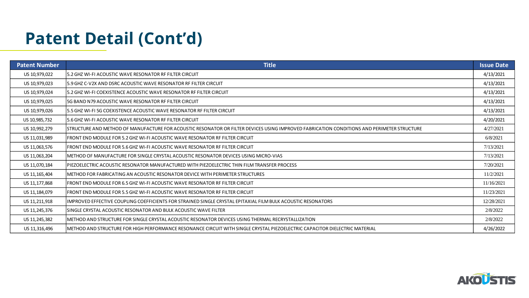# **Patent Detail (Cont'd)**

| <b>Patent Number</b> | <b>Title</b>                                                                                                                               | <b>Issue Date</b> |
|----------------------|--------------------------------------------------------------------------------------------------------------------------------------------|-------------------|
| US 10,979,022        | 5.2 GHZ WI-FI ACOUSTIC WAVE RESONATOR RF FILTER CIRCUIT                                                                                    | 4/13/2021         |
| US 10,979,023        | 5.9 GHZ C-V2X AND DSRC ACOUSTIC WAVE RESONATOR RF FILTER CIRCUIT                                                                           | 4/13/2021         |
| US 10,979,024        | 15.2 GHZ WI-FI COEXISTENCE ACOUSTIC WAVE RESONATOR RF FILTER CIRCUIT                                                                       | 4/13/2021         |
| US 10,979,025        | <b>5G BAND N79 ACOUSTIC WAVE RESONATOR RF FILTER CIRCUIT</b>                                                                               | 4/13/2021         |
| US 10,979,026        | 5.5 GHZ WI-FI 5G COEXISTENCE ACOUSTIC WAVE RESONATOR RF FILTER CIRCUIT                                                                     | 4/13/2021         |
| US 10,985,732        | 5.6 GHZ WI-FI ACOUSTIC WAVE RESONATOR RF FILTER CIRCUIT                                                                                    | 4/20/2021         |
| US 10,992,279        | STRUCTURE AND METHOD OF MANUFACTURE FOR ACOUSTIC RESONATOR OR FILTER DEVICES USING IMPROVED FABRICATION CONDITIONS AND PERIMETER STRUCTURE | 4/27/2021         |
| US 11,031,989        | [FRONT END MODULE FOR 5.2 GHZ WI-FI ACOUSTIC WAVE RESONATOR RF FILTER CIRCUIT                                                              | 6/8/2021          |
| US 11,063,576        | FRONT END MODULE FOR 5.6 GHZ WI-FI ACOUSTIC WAVE RESONATOR RF FILTER CIRCUIT                                                               | 7/13/2021         |
| US 11,063,204        | IMETHOD OF MANUFACTURE FOR SINGLE CRYSTAL ACOUSTIC RESONATOR DEVICES USING MICRO-VIAS                                                      | 7/13/2021         |
| US 11,070,184        | PIEZOELECTRIC ACOUSTIC RESONATOR MANUFACTURED WITH PIEZOELECTRIC THIN FILM TRANSFER PROCESS                                                | 7/20/2021         |
| US 11, 165, 404      | METHOD FOR FABRICATING AN ACOUSTIC RESONATOR DEVICE WITH PERIMETER STRUCTURES                                                              | 11/2/2021         |
| US 11, 177, 868      | FRONT END MODULE FOR 6.5 GHZ WI-FI ACOUSTIC WAVE RESONATOR RF FILTER CIRCUIT                                                               | 11/16/2021        |
| US 11, 184, 079      | FRONT END MODULE FOR 5.5 GHZ WI-FI ACOUSTIC WAVE RESONATOR RF FILTER CIRCUIT                                                               | 11/23/2021        |
| US 11,211,918        | IIMPROVED EFFECTIVE COUPLING COEFFICIENTS FOR STRAINED SINGLE CRYSTAL EPITAXIAL FILM BULK ACOUSTIC RESONATORS                              | 12/28/2021        |
| US 11,245,376        | ISINGLE CRYSTAL ACOUSTIC RESONATOR AND BULK ACOUSTIC WAVE FILTER                                                                           | 2/8/2022          |
| US 11,245,382        | IMETHOD AND STRUCTURE FOR SINGLE CRYSTAL ACOUSTIC RESONATOR DEVICES USING THERMAL RECRYSTALLIZATION                                        | 2/8/2022          |
| US 11,316,496        | IMETHOD AND STRUCTURE FOR HIGH PERFORMANCE RESONANCE CIRCUIT WITH SINGLE CRYSTAL PIEZOELECTRIC CAPACITOR DIELECTRIC MATERIAL               | 4/26/2022         |



| <b>Date</b> |
|-------------|
| 2021        |
| 2021        |
| 2021        |
| 2021        |
| 2021        |
| 2021        |
| .021        |
| 021         |
| .021        |
| 2021        |
| .021        |
| 2021        |
| 2021        |
| 2021        |
| 2021        |
| 022         |
| M           |
| 2022        |